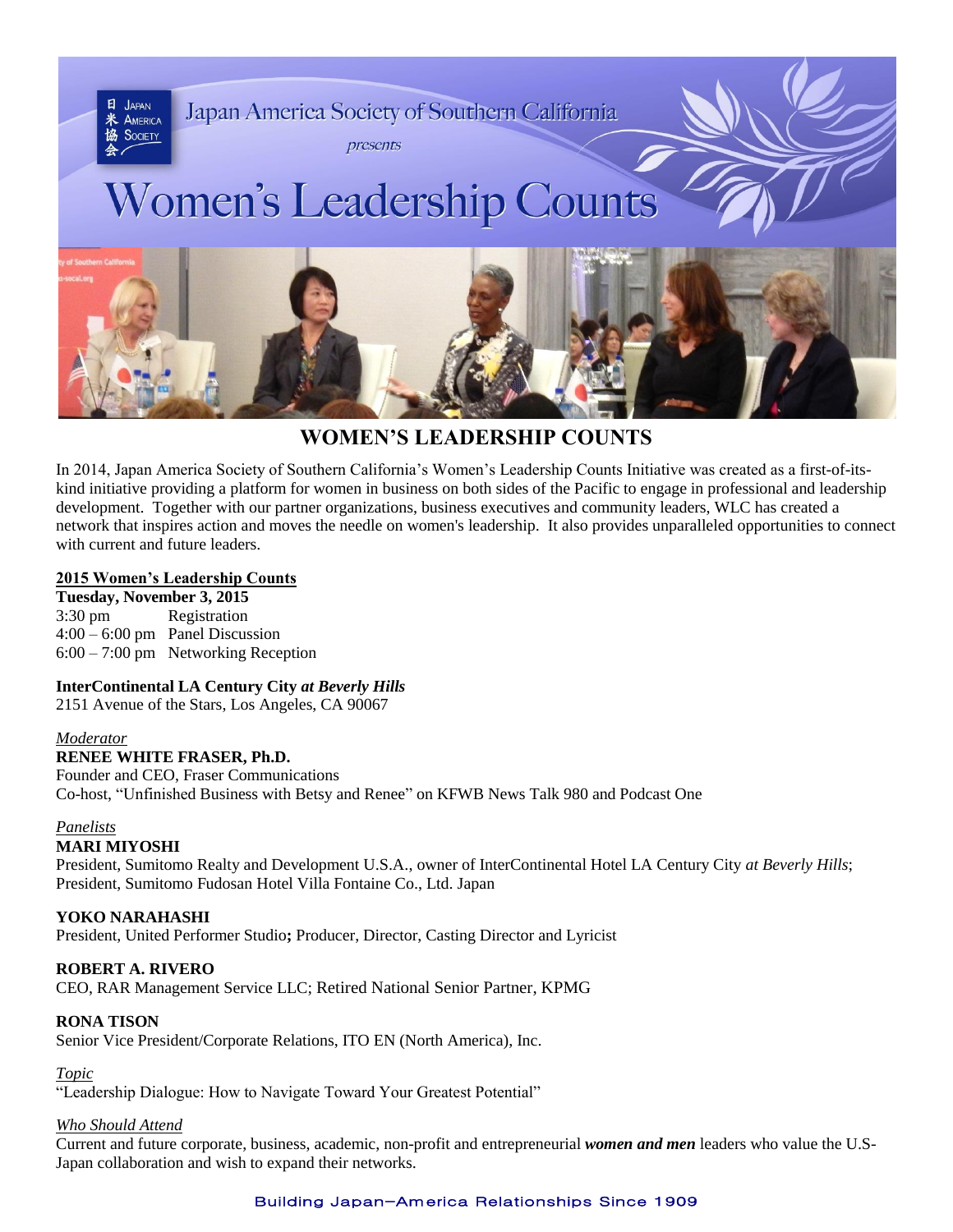

# **WOMEN'S LEADERSHIP COUNTS**

In 2014, Japan America Society of Southern California's Women's Leadership Counts Initiative was created as a first-of-itskind initiative providing a platform for women in business on both sides of the Pacific to engage in professional and leadership development. Together with our partner organizations, business executives and community leaders, WLC has created a network that inspires action and moves the needle on women's leadership. It also provides unparalleled opportunities to connect with current and future leaders.

#### **2015 Women's Leadership Counts**

**Tuesday, November 3, 2015** 3:30 pm Registration 4:00 – 6:00 pm Panel Discussion 6:00 – 7:00 pm Networking Reception

## **InterContinental LA Century City** *at Beverly Hills*

2151 Avenue of the Stars, Los Angeles, CA 90067

#### *Moderator*

## **RENEE WHITE FRASER, Ph.D.**

Founder and CEO, Fraser Communications Co-host, "Unfinished Business with Betsy and Renee" on KFWB News Talk 980 and Podcast One

#### *Panelists*

#### **MARI MIYOSHI**

President, Sumitomo Realty and Development U.S.A., owner of InterContinental Hotel LA Century City *at Beverly Hills*; President, Sumitomo Fudosan Hotel Villa Fontaine Co., Ltd. Japan

## **YOKO NARAHASHI**

President, United Performer Studio**;** Producer, Director, Casting Director and Lyricist

#### **ROBERT A. RIVERO**

CEO, RAR Management Service LLC; Retired National Senior Partner, KPMG

#### **RONA TISON**

Senior Vice President/Corporate Relations, ITO EN (North America), Inc.

#### *Topic*

"Leadership Dialogue: How to Navigate Toward Your Greatest Potential"

#### *Who Should Attend*

Current and future corporate, business, academic, non-profit and entrepreneurial *women and men* leaders who value the U.S-Japan collaboration and wish to expand their networks.

## Building Japan-America Relationships Since 1909